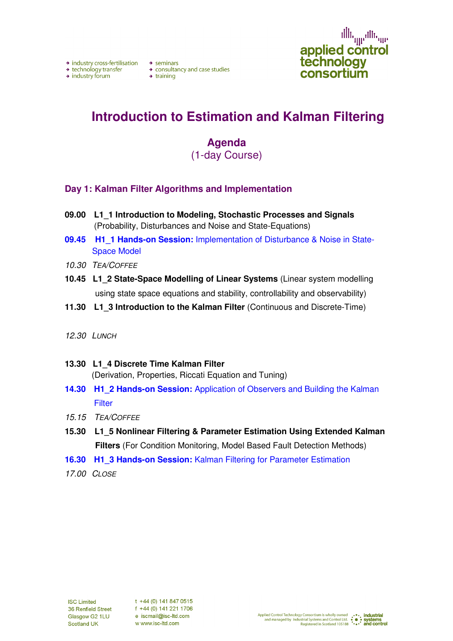→ industry cross-fertilisation → seminars

 $\rightarrow$  industry forum

+ technology transfer<br>
+ consultancy and case studies<br>
+ industry forum<br>
+ training<br>
+ training

illi<sub>qqu</sub>alli<sub>qqu</sub> applied control<br>technology consortium

# **Introduction to Estimation and Kalman Filtering**

### **Agenda**  (1-day Course)

#### **Day 1: Kalman Filter Algorithms and Implementation**

- **09.00 L1\_1 Introduction to Modeling, Stochastic Processes and Signals** (Probability, Disturbances and Noise and State-Equations)
- **09.45 H1\_1 Hands-on Session:** Implementation of Disturbance & Noise in State-Space Model
- 10.30 TEA/COFFEE
- **10.45 L1\_2 State-Space Modelling of Linear Systems** (Linear system modelling using state space equations and stability, controllability and observability)
- **11.30 L1\_3 Introduction to the Kalman Filter** (Continuous and Discrete-Time)

#### 12.30 LUNCH

- **13.30 L1\_4 Discrete Time Kalman Filter**  (Derivation, Properties, Riccati Equation and Tuning)
- **14.30 H1\_2 Hands-on Session:** Application of Observers and Building the Kalman **Filter**
- 15.15 TEA/COFFEE
- **15.30 L1\_5 Nonlinear Filtering & Parameter Estimation Using Extended Kalman Filters** (For Condition Monitoring, Model Based Fault Detection Methods)
- **16.30 H1\_3 Hands-on Session: Kalman Filtering for Parameter Estimation**
- 17.00 CLOSE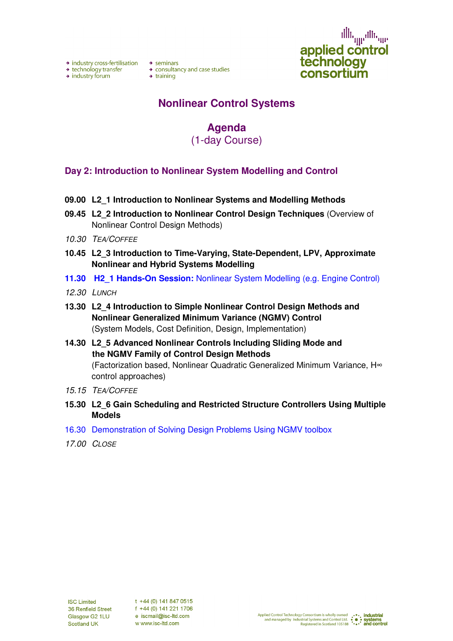→ industry cross-fertilisation → seminars

→ technology transfer

 $\rightarrow$  industry forum

→ consultancy and case studies  $\rightarrow$  consulta<br>  $\rightarrow$  training

illi<sub>gge</sub>alli<sub>ge</sub> applied control<br>technology consortium

### **Nonlinear Control Systems**

## **Agenda**

(1-day Course)

#### **Day 2: Introduction to Nonlinear System Modelling and Control**

- **09.00 L2\_1 Introduction to Nonlinear Systems and Modelling Methods**
- **09.45 L2\_2 Introduction to Nonlinear Control Design Techniques** (Overview of Nonlinear Control Design Methods)
- 10.30 TEA/COFFEE
- **10.45 L2\_3 Introduction to Time-Varying, State-Dependent, LPV, Approximate Nonlinear and Hybrid Systems Modelling**
- **11.30 H2\_1 Hands-On Session:** Nonlinear System Modelling (e.g. Engine Control)
- 12.30 LUNCH
- **13.30 L2\_4 Introduction to Simple Nonlinear Control Design Methods and Nonlinear Generalized Minimum Variance (NGMV) Control**  (System Models, Cost Definition, Design, Implementation)
- **14.30 L2\_5 Advanced Nonlinear Controls Including Sliding Mode and the NGMV Family of Control Design Methods**  (Factorization based, Nonlinear Quadratic Generalized Minimum Variance, H∞ control approaches)
- 15.15 TEA/COFFEE
- **15.30 L2\_6 Gain Scheduling and Restricted Structure Controllers Using Multiple Models**
- 16.30 Demonstration of Solving Design Problems Using NGMV toolbox
- 17.00 CLOSE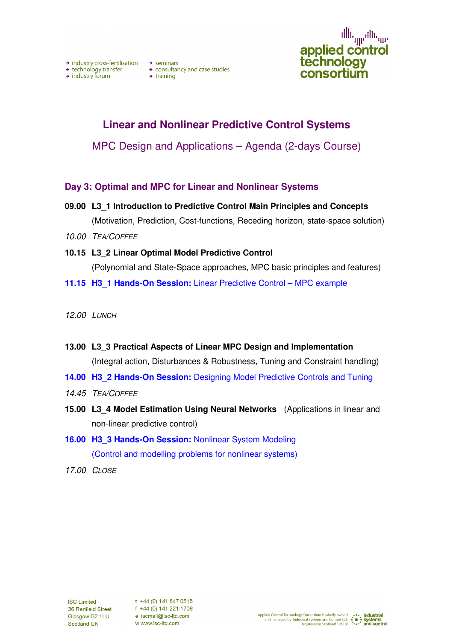illi<sub>qqu</sub>alli<sub>qqu</sub> applied control technology consortium

### **Linear and Nonlinear Predictive Control Systems**

MPC Design and Applications – Agenda (2-days Course)

- **Day 3: Optimal and MPC for Linear and Nonlinear Systems**
- **09.00 L3\_1 Introduction to Predictive Control Main Principles and Concepts** (Motivation, Prediction, Cost-functions, Receding horizon, state-space solution)
- 10.00 TEA/COFFEE
- **10.15 L3\_2 Linear Optimal Model Predictive Control**  (Polynomial and State-Space approaches, MPC basic principles and features)
- **11.15 H3 1 Hands-On Session:** Linear Predictive Control MPC example
- 12.00 LUNCH
- **13.00 L3\_3 Practical Aspects of Linear MPC Design and Implementation**  (Integral action, Disturbances & Robustness, Tuning and Constraint handling)
- **14.00 H3 2 Hands-On Session:** Designing Model Predictive Controls and Tuning
- 14.45 TEA/COFFEE
- **15.00 L3 4 Model Estimation Using Neural Networks** (Applications in linear and non-linear predictive control)
- **16.00 H3 3 Hands-On Session: Nonlinear System Modeling** (Control and modelling problems for nonlinear systems)
- 17.00 CLOSE